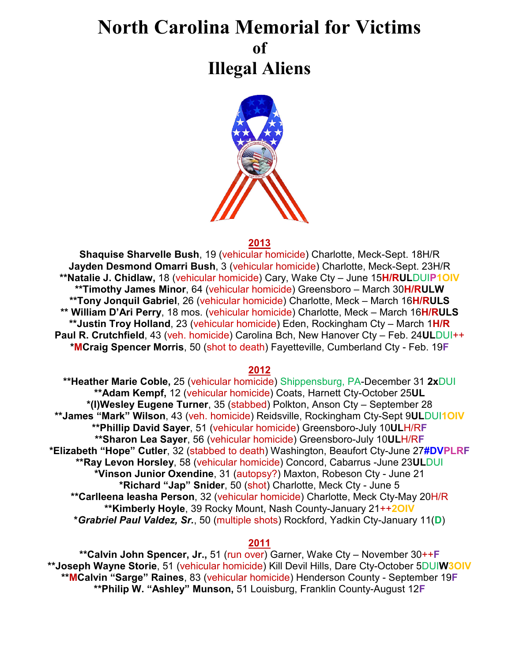# **North Carolina Memorial for Victims of Illegal Aliens**



#### **2013**

**Shaquise Sharvelle Bush**, 19 (vehicular homicide) Charlotte, Meck-Sept. 18H/R **Jayden Desmond Omarri Bush**, 3 (vehicular homicide) Charlotte, Meck-Sept. 23H/R **\*\*Natalie J. Chidlaw,** 18 (vehicular homicide) Cary, Wake Cty – June 15**H/RUL**DUI**P1OIV \*\*Timothy James Minor**, 64 (vehicular homicide) Greensboro – March 30**H/RULW \*\*Tony Jonquil Gabriel**, 26 (vehicular homicide) Charlotte, Meck – March 16**H/RULS \*\* William D'Ari Perry**, 18 mos. (vehicular homicide) Charlotte, Meck – March 16**H/RULS \*\*Justin Troy Holland**, 23 (vehicular homicide) Eden, Rockingham Cty – March 1**H/R Paul R. Crutchfield**, 43 (veh. homicide) Carolina Bch, New Hanover Cty – Feb. 24**UL**DUI++ **\*MCraig Spencer Morris**, 50 (shot to death) Fayetteville, Cumberland Cty - Feb. 19**F**

#### **2012**

**\*\*Heather Marie Coble,** 25 (vehicular homicide) Shippensburg, PA-December 31 **2x**DUI **\*\*Adam Kempf,** 12 (vehicular homicide) Coats, Harnett Cty-October 25**UL \*(I)Wesley Eugene Turner**, 35 (stabbed) Polkton, Anson Cty – September 28 **\*\*James "Mark" Wilson**, 43 (veh. homicide) Reidsville, Rockingham Cty-Sept 9**UL**DUI**1OIV \*\*Phillip David Sayer**, 51 (vehicular homicide) Greensboro-July 10**UL**H/R**F \*\*Sharon Lea Sayer**, 56 (vehicular homicide) Greensboro-July 10**UL**H/R**F \*Elizabeth "Hope" Cutler**, 32 (stabbed to death) Washington, Beaufort Cty-June 27**#DVPLRF \*\*Ray Levon Horsley**, 58 (vehicular homicide) Concord, Cabarrus -June 23**UL**DUI **\*Vinson Junior Oxendine**, 31 (autopsy?) Maxton, Robeson Cty - June 21 **\*Richard "Jap" Snider**, 50 (shot) Charlotte, Meck Cty - June 5 **\*\*Carlleena Ieasha Person**, 32 (vehicular homicide) Charlotte, Meck Cty-May 20H/R **\*\*Kimberly Hoyle**, 39 Rocky Mount, Nash County-January 21++**2OIV \****Grabriel Paul Valdez, Sr.*, 50 (multiple shots) Rockford, Yadkin Cty-January 11(**D**)

#### **2011**

**\*\*Calvin John Spencer, Jr.,** 51 (run over) Garner, Wake Cty – November 30++**F \*\*Joseph Wayne Storie**, 51 (vehicular homicide) Kill Devil Hills, Dare Cty-October 5DUI**W3OIV \*\*MCalvin "Sarge" Raines**, 83 (vehicular homicide) Henderson County - September 19**F \*\*Philip W. "Ashley" Munson,** 51 Louisburg, Franklin County-August 12**F**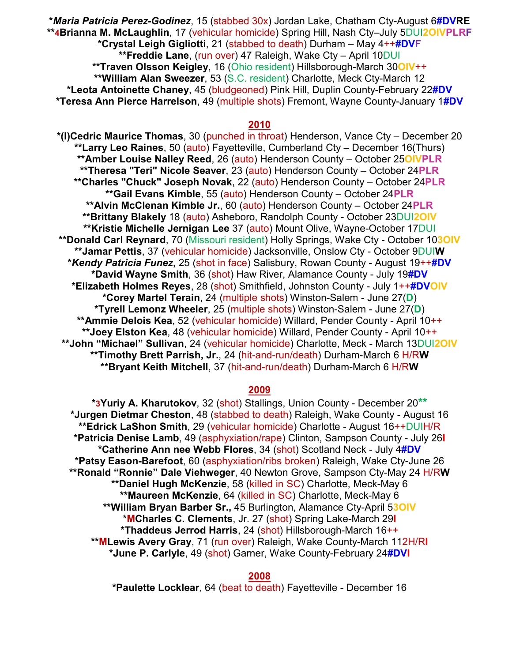**\****Maria Patricia Perez-Godinez*, 15 (stabbed 30x) Jordan Lake, Chatham Cty-August 6**#DVRE \*\*4Brianna M. McLaughlin**, 17 (vehicular homicide) Spring Hill, Nash Cty–July 5DUI**2OIVPLRF \*Crystal Leigh Gigliotti**, 21 (stabbed to death) Durham – May 4++**#DVF \*\*Freddie Lane**, (run over) 47 Raleigh, Wake Cty – April 10DUI **\*\*Traven Olsson Keigley**, 16 (Ohio resident) Hillsborough-March 30**OIV**++ **\*\*William Alan Sweezer**, 53 (S.C. resident) Charlotte, Meck Cty-March 12 **\*Leota Antoinette Chaney**, 45 (bludgeoned) Pink Hill, Duplin County-February 22**#DV \*Teresa Ann Pierce Harrelson**, 49 (multiple shots) Fremont, Wayne County-January 1**#DV** 

# **2010**

**\*(I)Cedric Maurice Thomas**, 30 (punched in throat) Henderson, Vance Cty – December 20 **\*\*Larry Leo Raines**, 50 (auto) Fayetteville, Cumberland Cty – December 16(Thurs) **\*\*Amber Louise Nalley Reed**, 26 (auto) Henderson County – October 25**OIVPLR \*\*Theresa "Teri" Nicole Seaver**, 23 (auto) Henderson County – October 24**PLR \*\*Charles "Chuck" Joseph Novak**, 22 (auto) Henderson County – October 24**PLR \*\*Gail Evans Kimble**, 55 (auto) Henderson County – October 24**PLR \*\*Alvin McClenan Kimble Jr.**, 60 (auto) Henderson County – October 24**PLR \*\*Brittany Blakely** 18 (auto) Asheboro, Randolph County - October 23DUI**2OIV \*\*Kristie Michelle Jernigan Lee** 37 (auto) Mount Olive, Wayne-October 17DUI **\*\*Donald Carl Reynard**, 70 (Missouri resident) Holly Springs, Wake Cty - October 10**3OIV \*\*Jamar Pettis**, 37 (vehicular homicide) Jacksonville, Onslow Cty - October 9DUI**W \****Kendy Patricia Funez***,** 25 (shot in face) Salisbury, Rowan County - August 19++**#DV \*David Wayne Smith**, 36 (shot) Haw River, Alamance County - July 19**#DV \*Elizabeth Holmes Reyes**, 28 (shot) Smithfield, Johnston County - July 1++**#DVOIV \*Corey Martel Terain**, 24 (multiple shots) Winston-Salem - June 27(**D**) **\*Tyrell Lemonz Wheeler**, 25 (multiple shots) Winston-Salem - June 27(**D**) **\*\*Ammie Delois Kea**, 52 (vehicular homicide) Willard, Pender County - April 10++ **\*\*Joey Elston Kea**, 48 (vehicular homicide) Willard, Pender County - April 10++ **\*\*John "Michael" Sullivan**, 24 (vehicular homicide) Charlotte, Meck - March 13DUI**2OIV \*\*Timothy Brett Parrish, Jr.**, 24 (hit-and-run/death) Durham-March 6 H/R**W \*\*Bryant Keith Mitchell**, 37 (hit-and-run/death) Durham-March 6 H/R**W**

#### **2009**

**\*3Yuriy A. Kharutokov**, 32 (shot) Stallings, Union County - December 20**\*\* \*Jurgen Dietmar Cheston**, 48 (stabbed to death) Raleigh, Wake County - August 16 **\*\*Edrick LaShon Smith**, 29 (vehicular homicide) Charlotte - August 16++DUIH/R **\*Patricia Denise Lamb**, 49 (asphyxiation/rape) Clinton, Sampson County - July 26**I \*Catherine Ann nee Webb Flores**, 34 (shot) Scotland Neck - July 4**#DV \*Patsy Eason-Barefoot**, 60 (asphyxiation/ribs broken) Raleigh, Wake Cty-June 26 **\*\*Ronald "Ronnie" Dale Viehweger**, 40 Newton Grove, Sampson Cty-May 24 H/R**W \*\*Daniel Hugh McKenzie**, 58 (killed in SC) Charlotte, Meck-May 6 **\*\*Maureen McKenzie**, 64 (killed in SC) Charlotte, Meck-May 6 **\*\*William Bryan Barber Sr.,** 45 Burlington, Alamance Cty-April 5**3OIV** \***MCharles C. Clements**, Jr. 27 (shot) Spring Lake-March 29**I \*Thaddeus Jerrod Harris**, 24 (shot) Hillsborough-March 16++ **\*\*MLewis Avery Gray**, 71 (run over) Raleigh, Wake County-March 112H/R**I \*June P. Carlyle**, 49 (shot) Garner, Wake County-February 24**#DVI**

**2008**

**\*Paulette Locklear**, 64 (beat to death) Fayetteville - December 16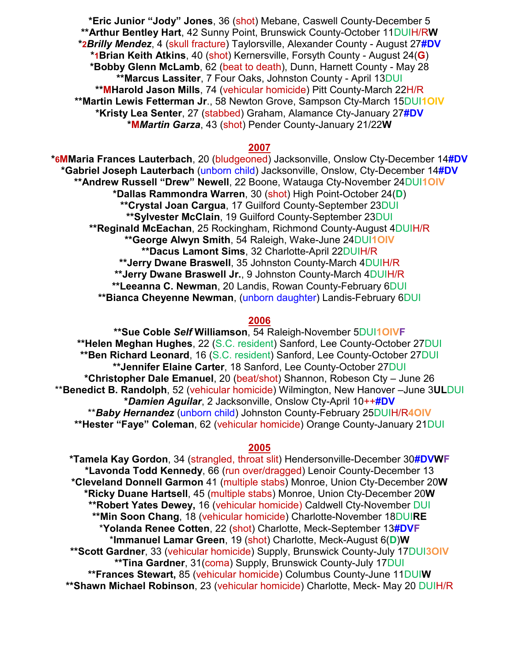**\*Eric Junior "Jody" Jones**, 36 (shot) Mebane, Caswell County-December 5 **\*\*Arthur Bentley Hart**, 42 Sunny Point, Brunswick County-October 11DUIH/R**W \*2***Brilly Mendez*, 4 (skull fracture) Taylorsville, Alexander County - August 27**#DV \*1Brian Keith Atkins**, 40 (shot) Kernersville, Forsyth County - August 24(**G**) **\*Bobby Glenn McLamb**, 62 (beat to death), Dunn, Harnett County - May 28 **\*\*Marcus Lassiter**, 7 Four Oaks, Johnston County - April 13DUI **\*\*MHarold Jason Mills**, 74 (vehicular homicide) Pitt County-March 22H/R **\*\*Martin Lewis Fetterman Jr**., 58 Newton Grove, Sampson Cty-March 15DUI**1OIV \*Kristy Lea Senter**, 27 (stabbed) Graham, Alamance Cty-January 27**#DV \*M***Martin Garza*, 43 (shot) Pender County-January 21/22**W** 

#### **2007**

**\*6MMaria Frances Lauterbach**, 20 (bludgeoned) Jacksonville, Onslow Cty-December 14**#DV \*Gabriel Joseph Lauterbach** (unborn child) Jacksonville, Onslow, Cty-December 14**#DV \*\*Andrew Russell "Drew" Newell**, 22 Boone, Watauga Cty-November 24DUI**1OIV \*Dallas Rammondra Warren**, 30 (shot) High Point-October 24(**D**) **\*\*Crystal Joan Cargua**, 17 Guilford County-September 23DUI **\*\*Sylvester McClain**, 19 Guilford County-September 23DUI **\*\*Reginald McEachan**, 25 Rockingham, Richmond County-August 4DUIH/R **\*\*George Alwyn Smith**, 54 Raleigh, Wake-June 24DUI**1OIV \*\*Dacus Lamont Sims**, 32 Charlotte-April 22DUIH/R **\*\*Jerry Dwane Braswell**, 35 Johnston County-March 4DUIH/R **\*\*Jerry Dwane Braswell Jr.**, 9 Johnston County-March 4DUIH/R **\*\*Leeanna C. Newman**, 20 Landis, Rowan County-February 6DUI **\*\*Bianca Cheyenne Newman**, (unborn daughter) Landis-February 6DUI

#### **2006**

**\*\*Sue Coble** *Self* **Williamson**, 54 Raleigh-November 5DUI**1OIVF \*\*Helen Meghan Hughes**, 22 (S.C. resident) Sanford, Lee County-October 27DUI **\*\*Ben Richard Leonard**, 16 (S.C. resident) Sanford, Lee County-October 27DUI **\*\*Jennifer Elaine Carter**, 18 Sanford, Lee County-October 27DUI **\*Christopher Dale Emanuel**, 20 (beat/shot) Shannon, Robeson Cty – June 26 \*\***Benedict B. Randolph**, 52 (vehicular homicide) Wilmington, New Hanover –June 3**UL**DUI **\****Damien Aguilar*, 2 Jacksonville, Onslow Cty-April 10++**#DV** \*\**Baby Hernandez* (unborn child) Johnston County-February 25DUIH/R**4OIV \*\*Hester "Faye" Coleman**, 62 (vehicular homicide) Orange County-January 21DUI

## **2005**

**\*Tamela Kay Gordon**, 34 (strangled, throat slit) Hendersonville-December 30**#DVWF \*Lavonda Todd Kennedy**, 66 (run over/dragged) Lenoir County-December 13 **\*Cleveland Donnell Garmon** 41 (multiple stabs) Monroe, Union Cty-December 20**W \*Ricky Duane Hartsell**, 45 (multiple stabs) Monroe, Union Cty-December 20**W \*\*Robert Yates Dewey,** 16 (vehicular homicide) Caldwell Cty-November DUI **\*\*Min Soon Chang**, 18 (vehicular homicide) Charlotte-November 18DUI**RE** \***Yolanda Renee Cotten**, 22 (shot) Charlotte, Meck-September 13**#DVF** \***Immanuel Lamar Green**, 19 (shot) Charlotte, Meck-August 6(**D**)**W \*\*Scott Gardner**, 33 (vehicular homicide) Supply, Brunswick County-July 17DUI**3OIV \*\*Tina Gardner**, 31(coma) Supply, Brunswick County-July 17DUI **\*\*Frances Stewart,** 85 (vehicular homicide) Columbus County-June 11DUI**W \*\*Shawn Michael Robinson**, 23 (vehicular homicide) Charlotte, Meck- May 20 DUIH/R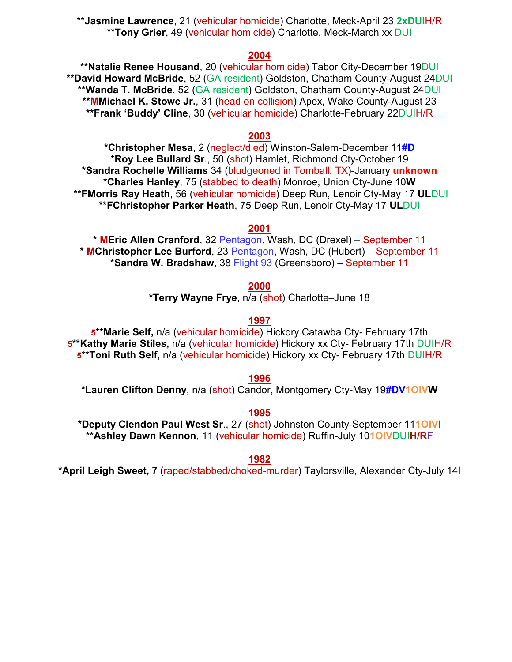\*\***Jasmine Lawrence**, 21 (vehicular homicide) Charlotte, Meck-April 23 **2xDUI**H/R \*\***Tony Grier**, 49 (vehicular homicide) Charlotte, Meck-March xx DUI

## **2004**

**\*\*Natalie Renee Housand**, 20 (vehicular homicide) Tabor City-December 19DUI **\*\*David Howard McBride**, 52 (GA resident) Goldston, Chatham County-August 24DUI **\*\*Wanda T. McBride**, 52 (GA resident) Goldston, Chatham County-August 24DUI **\*\*MMichael K. Stowe Jr.**, 31 (head on collision) Apex, Wake County-August 23 **\*\*Frank 'Buddy' Cline**, 30 (vehicular homicide) Charlotte-February 22DUIH/R

## **2003**

**\*Christopher Mesa**, 2 (neglect/died) Winston-Salem-December 11**#D \*Roy Lee Bullard Sr**., 50 (shot) Hamlet, Richmond Cty-October 19 **\*Sandra Rochelle Williams** 34 (bludgeoned in Tomball, TX)-January **unknown \*Charles Hanley**, 75 (stabbed to death) Monroe, Union Cty-June 10**W \*\*FMorris Ray Heath**, 56 (vehicular homicide) Deep Run, Lenoir Cty-May 17 **UL**DUI **\*\*FChristopher Parker Heath**, 75 Deep Run, Lenoir Cty-May 17 **UL**DUI

**2001**

**\* MEric Allen Cranford**, 32 Pentagon, Wash, DC (Drexel) – September 11 **\* MChristopher Lee Burford**, 23 Pentagon, Wash, DC (Hubert) – September 11 **\*Sandra W. Bradshaw**, 38 Flight 93 (Greensboro) – September 11

**2000**

**\*Terry Wayne Frye**, n/a (shot) Charlotte–June 18

# **1997**

**5\*\*Marie Self,** n/a (vehicular homicide) Hickory Catawba Cty- February 17th **5\*\*Kathy Marie Stiles,** n/a (vehicular homicide) Hickory xx Cty- February 17th DUIH/R **5\*\*Toni Ruth Self,** n/a (vehicular homicide) Hickory xx Cty- February 17th DUIH/R

## **1996**

**\*Lauren Clifton Denny**, n/a (shot) Candor, Montgomery Cty-May 19**#DV1OIVW**

# **1995**

**\*Deputy Clendon Paul West Sr**., 27 (shot) Johnston County-September 11**1OIVI \*\*Ashley Dawn Kennon**, 11 (vehicular homicide) Ruffin-July 10**1OIV**DUI**H/RF**

**1982** 

**\*April Leigh Sweet, 7** (raped/stabbed/choked-murder) Taylorsville, Alexander Cty-July 14**I**